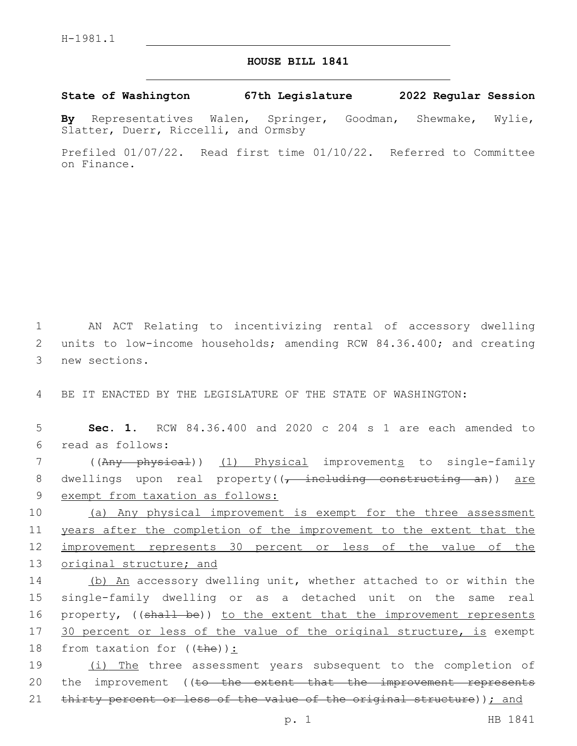## **HOUSE BILL 1841**

**State of Washington 67th Legislature 2022 Regular Session**

**By** Representatives Walen, Springer, Goodman, Shewmake, Wylie, Slatter, Duerr, Riccelli, and Ormsby

Prefiled 01/07/22. Read first time 01/10/22. Referred to Committee on Finance.

1 AN ACT Relating to incentivizing rental of accessory dwelling 2 units to low-income households; amending RCW 84.36.400; and creating 3 new sections.

4 BE IT ENACTED BY THE LEGISLATURE OF THE STATE OF WASHINGTON:

5 **Sec. 1.** RCW 84.36.400 and 2020 c 204 s 1 are each amended to read as follows:6

7 ((Any physical)) (1) Physical improvements to single-family 8 dwellings upon real property((, including constructing an)) are 9 exempt from taxation as follows:

 (a) Any physical improvement is exempt for the three assessment years after the completion of the improvement to the extent that the improvement represents 30 percent or less of the value of the original structure; and

14 (b) An accessory dwelling unit, whether attached to or within the 15 single-family dwelling or as a detached unit on the same real 16 property, ((shall be)) to the extent that the improvement represents 17 30 percent or less of the value of the original structure, is exempt 18 from taxation for  $((the h e))$ :

19 (i) The three assessment years subsequent to the completion of 20 the improvement ((to the extent that the improvement represents 21 thirty percent or less of the value of the original structure)); and

p. 1 HB 1841